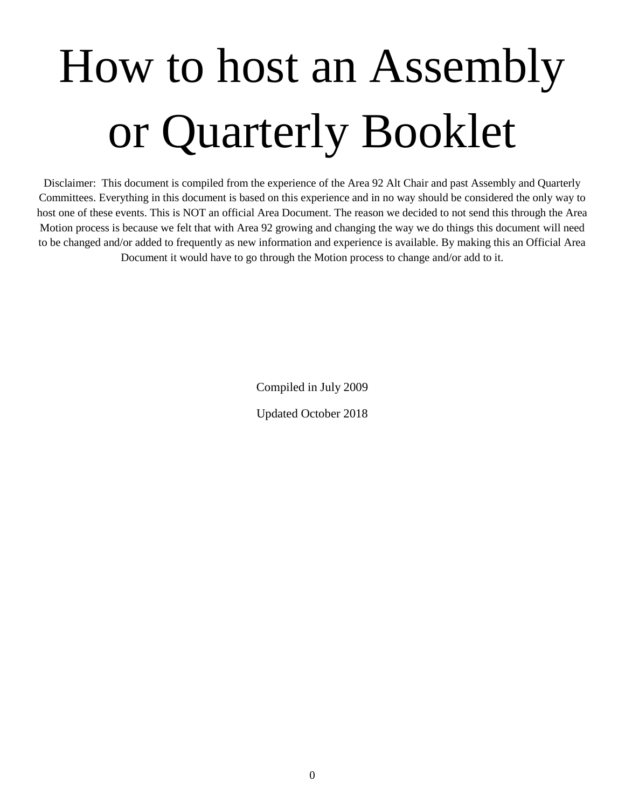# How to host an Assembly or Quarterly Booklet

Disclaimer: This document is compiled from the experience of the Area 92 Alt Chair and past Assembly and Quarterly Committees. Everything in this document is based on this experience and in no way should be considered the only way to host one of these events. This is NOT an official Area Document. The reason we decided to not send this through the Area Motion process is because we felt that with Area 92 growing and changing the way we do things this document will need to be changed and/or added to frequently as new information and experience is available. By making this an Official Area Document it would have to go through the Motion process to change and/or add to it.

Compiled in July 2009

Updated October 2018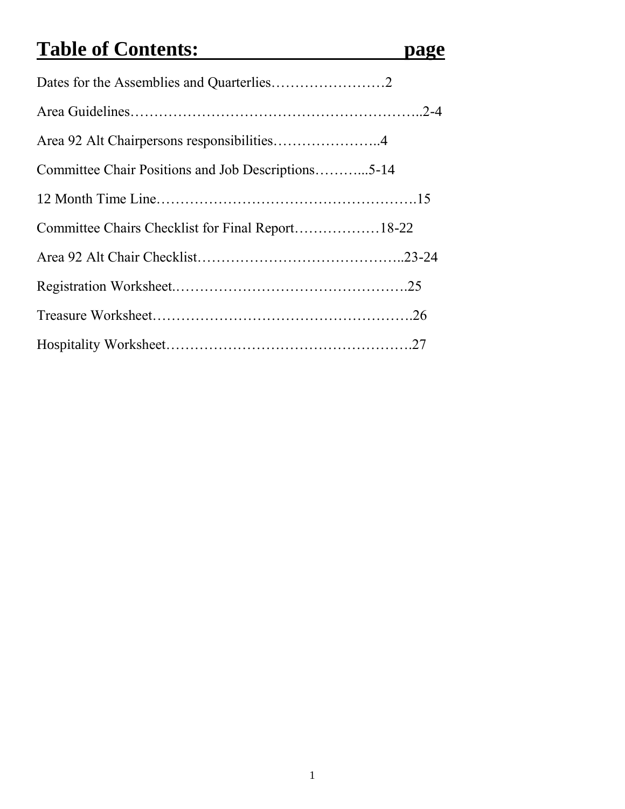# **Table of Contents: page**

| Area 92 Alt Chairpersons responsibilities4         |  |
|----------------------------------------------------|--|
| Committee Chair Positions and Job Descriptions5-14 |  |
|                                                    |  |
| Committee Chairs Checklist for Final Report18-22   |  |
|                                                    |  |
|                                                    |  |
|                                                    |  |
|                                                    |  |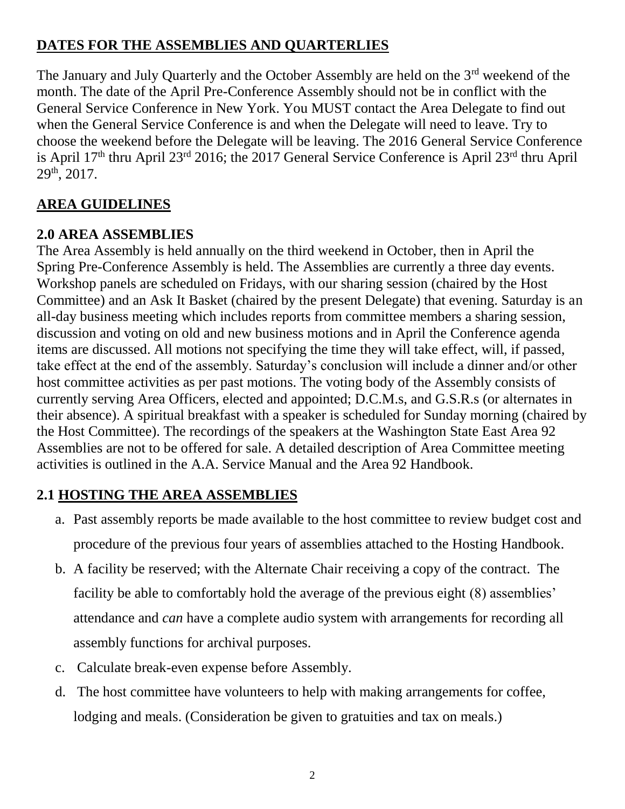# **DATES FOR THE ASSEMBLIES AND QUARTERLIES**

The January and July Ouarterly and the October Assembly are held on the 3<sup>rd</sup> weekend of the month. The date of the April Pre-Conference Assembly should not be in conflict with the General Service Conference in New York. You MUST contact the Area Delegate to find out when the General Service Conference is and when the Delegate will need to leave. Try to choose the weekend before the Delegate will be leaving. The 2016 General Service Conference is April 17th thru April 23rd 2016; the 2017 General Service Conference is April 23rd thru April  $29<sup>th</sup>$ , 2017.

# **AREA GUIDELINES**

# **2.0 AREA ASSEMBLIES**

The Area Assembly is held annually on the third weekend in October, then in April the Spring Pre-Conference Assembly is held. The Assemblies are currently a three day events. Workshop panels are scheduled on Fridays, with our sharing session (chaired by the Host Committee) and an Ask It Basket (chaired by the present Delegate) that evening. Saturday is an all-day business meeting which includes reports from committee members a sharing session, discussion and voting on old and new business motions and in April the Conference agenda items are discussed. All motions not specifying the time they will take effect, will, if passed, take effect at the end of the assembly. Saturday's conclusion will include a dinner and/or other host committee activities as per past motions. The voting body of the Assembly consists of currently serving Area Officers, elected and appointed; D.C.M.s, and G.S.R.s (or alternates in their absence). A spiritual breakfast with a speaker is scheduled for Sunday morning (chaired by the Host Committee). The recordings of the speakers at the Washington State East Area 92 Assemblies are not to be offered for sale. A detailed description of Area Committee meeting activities is outlined in the A.A. Service Manual and the Area 92 Handbook.

# **2.1 HOSTING THE AREA ASSEMBLIES**

- a. Past assembly reports be made available to the host committee to review budget cost and procedure of the previous four years of assemblies attached to the Hosting Handbook.
- b. A facility be reserved; with the Alternate Chair receiving a copy of the contract. The facility be able to comfortably hold the average of the previous eight (8) assemblies' attendance and *can* have a complete audio system with arrangements for recording all assembly functions for archival purposes.
- c. Calculate break-even expense before Assembly.
- d. The host committee have volunteers to help with making arrangements for coffee, lodging and meals. (Consideration be given to gratuities and tax on meals.)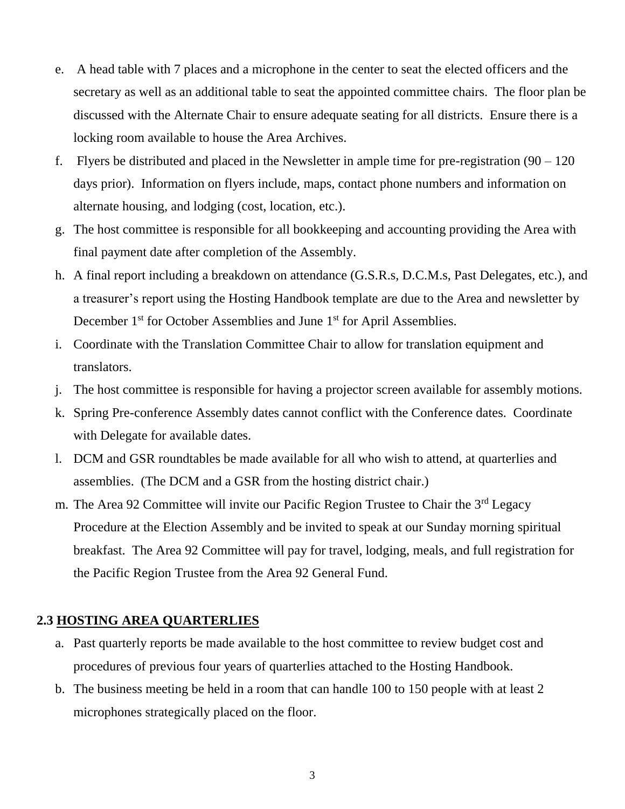- e. A head table with 7 places and a microphone in the center to seat the elected officers and the secretary as well as an additional table to seat the appointed committee chairs. The floor plan be discussed with the Alternate Chair to ensure adequate seating for all districts. Ensure there is a locking room available to house the Area Archives.
- f. Flyers be distributed and placed in the Newsletter in ample time for pre-registration  $(90 120)$ days prior). Information on flyers include, maps, contact phone numbers and information on alternate housing, and lodging (cost, location, etc.).
- g. The host committee is responsible for all bookkeeping and accounting providing the Area with final payment date after completion of the Assembly.
- h. A final report including a breakdown on attendance (G.S.R.s, D.C.M.s, Past Delegates, etc.), and a treasurer's report using the Hosting Handbook template are due to the Area and newsletter by December 1<sup>st</sup> for October Assemblies and June 1<sup>st</sup> for April Assemblies.
- i. Coordinate with the Translation Committee Chair to allow for translation equipment and translators.
- j. The host committee is responsible for having a projector screen available for assembly motions.
- k. Spring Pre-conference Assembly dates cannot conflict with the Conference dates. Coordinate with Delegate for available dates.
- l. DCM and GSR roundtables be made available for all who wish to attend, at quarterlies and assemblies. (The DCM and a GSR from the hosting district chair.)
- m. The Area 92 Committee will invite our Pacific Region Trustee to Chair the 3<sup>rd</sup> Legacy Procedure at the Election Assembly and be invited to speak at our Sunday morning spiritual breakfast. The Area 92 Committee will pay for travel, lodging, meals, and full registration for the Pacific Region Trustee from the Area 92 General Fund.

#### **2.3 HOSTING AREA QUARTERLIES**

- a. Past quarterly reports be made available to the host committee to review budget cost and procedures of previous four years of quarterlies attached to the Hosting Handbook.
- b. The business meeting be held in a room that can handle 100 to 150 people with at least 2 microphones strategically placed on the floor.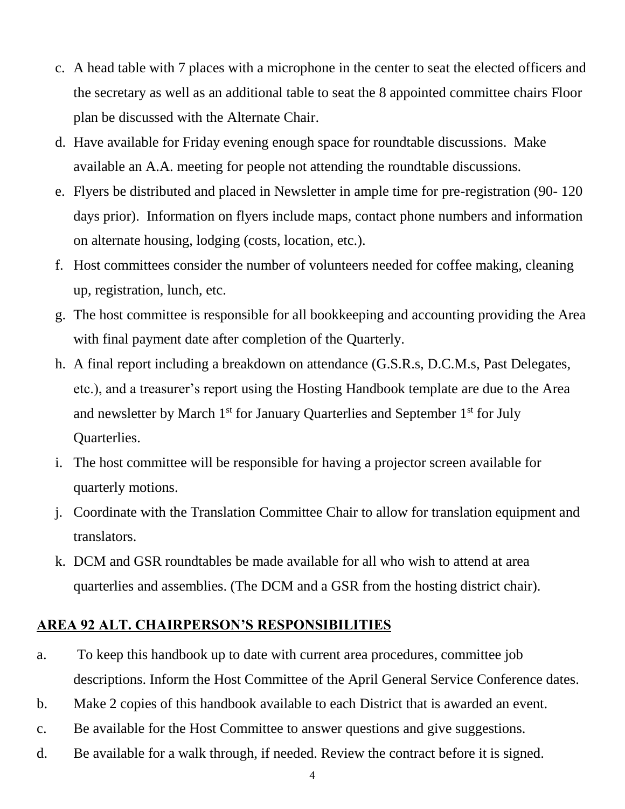- c. A head table with 7 places with a microphone in the center to seat the elected officers and the secretary as well as an additional table to seat the 8 appointed committee chairs Floor plan be discussed with the Alternate Chair.
- d. Have available for Friday evening enough space for roundtable discussions. Make available an A.A. meeting for people not attending the roundtable discussions.
- e. Flyers be distributed and placed in Newsletter in ample time for pre-registration (90- 120 days prior). Information on flyers include maps, contact phone numbers and information on alternate housing, lodging (costs, location, etc.).
- f. Host committees consider the number of volunteers needed for coffee making, cleaning up, registration, lunch, etc.
- g. The host committee is responsible for all bookkeeping and accounting providing the Area with final payment date after completion of the Quarterly.
- h. A final report including a breakdown on attendance (G.S.R.s, D.C.M.s, Past Delegates, etc.), and a treasurer's report using the Hosting Handbook template are due to the Area and newsletter by March 1<sup>st</sup> for January Quarterlies and September 1<sup>st</sup> for July Quarterlies.
- i. The host committee will be responsible for having a projector screen available for quarterly motions.
- j. Coordinate with the Translation Committee Chair to allow for translation equipment and translators.
- k. DCM and GSR roundtables be made available for all who wish to attend at area quarterlies and assemblies. (The DCM and a GSR from the hosting district chair).

#### **AREA 92 ALT. CHAIRPERSON'S RESPONSIBILITIES**

- a. To keep this handbook up to date with current area procedures, committee job descriptions. Inform the Host Committee of the April General Service Conference dates.
- b. Make 2 copies of this handbook available to each District that is awarded an event.
- c. Be available for the Host Committee to answer questions and give suggestions.
- d. Be available for a walk through, if needed. Review the contract before it is signed.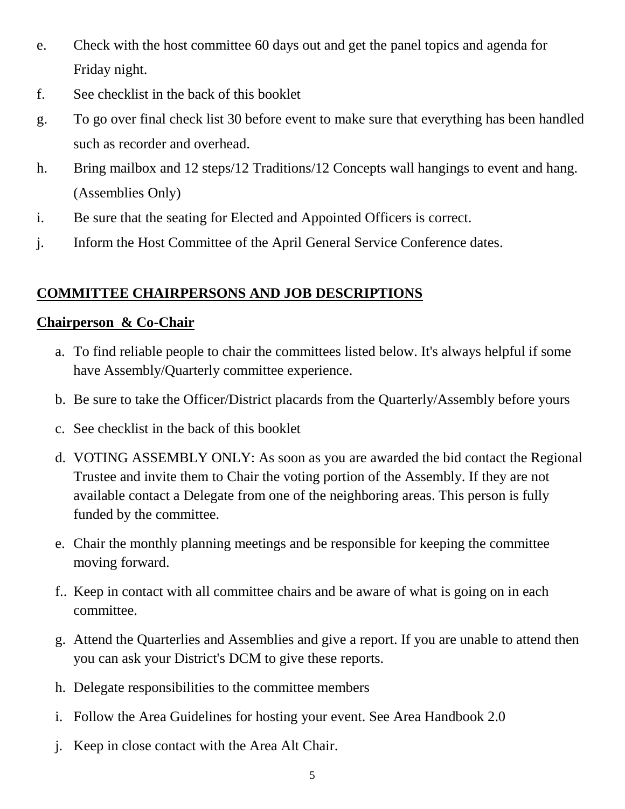- e. Check with the host committee 60 days out and get the panel topics and agenda for Friday night.
- f. See checklist in the back of this booklet
- g. To go over final check list 30 before event to make sure that everything has been handled such as recorder and overhead.
- h. Bring mailbox and 12 steps/12 Traditions/12 Concepts wall hangings to event and hang. (Assemblies Only)
- i. Be sure that the seating for Elected and Appointed Officers is correct.
- j. Inform the Host Committee of the April General Service Conference dates.

# **COMMITTEE CHAIRPERSONS AND JOB DESCRIPTIONS**

#### **Chairperson & Co-Chair**

- a. To find reliable people to chair the committees listed below. It's always helpful if some have Assembly/Quarterly committee experience.
- b. Be sure to take the Officer/District placards from the Quarterly/Assembly before yours
- c. See checklist in the back of this booklet
- d. VOTING ASSEMBLY ONLY: As soon as you are awarded the bid contact the Regional Trustee and invite them to Chair the voting portion of the Assembly. If they are not available contact a Delegate from one of the neighboring areas. This person is fully funded by the committee.
- e. Chair the monthly planning meetings and be responsible for keeping the committee moving forward.
- f.. Keep in contact with all committee chairs and be aware of what is going on in each committee.
- g. Attend the Quarterlies and Assemblies and give a report. If you are unable to attend then you can ask your District's DCM to give these reports.
- h. Delegate responsibilities to the committee members
- i. Follow the Area Guidelines for hosting your event. See Area Handbook 2.0
- j. Keep in close contact with the Area Alt Chair.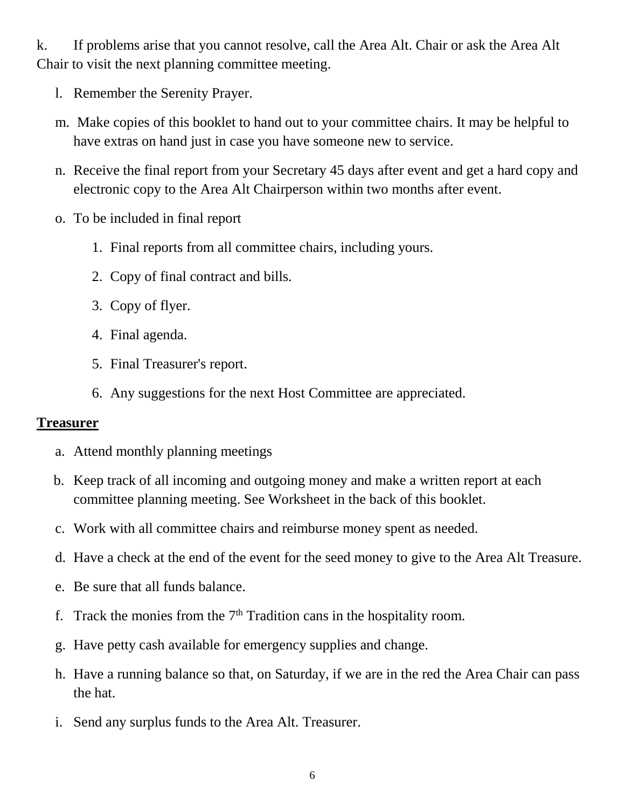k. If problems arise that you cannot resolve, call the Area Alt. Chair or ask the Area Alt Chair to visit the next planning committee meeting.

- l. Remember the Serenity Prayer.
- m. Make copies of this booklet to hand out to your committee chairs. It may be helpful to have extras on hand just in case you have someone new to service.
- n. Receive the final report from your Secretary 45 days after event and get a hard copy and electronic copy to the Area Alt Chairperson within two months after event.
- o. To be included in final report
	- 1. Final reports from all committee chairs, including yours.
	- 2. Copy of final contract and bills.
	- 3. Copy of flyer.
	- 4. Final agenda.
	- 5. Final Treasurer's report.
	- 6. Any suggestions for the next Host Committee are appreciated.

#### **Treasurer**

- a. Attend monthly planning meetings
- b. Keep track of all incoming and outgoing money and make a written report at each committee planning meeting. See Worksheet in the back of this booklet.
- c. Work with all committee chairs and reimburse money spent as needed.
- d. Have a check at the end of the event for the seed money to give to the Area Alt Treasure.
- e. Be sure that all funds balance.
- f. Track the monies from the  $7<sup>th</sup>$  Tradition cans in the hospitality room.
- g. Have petty cash available for emergency supplies and change.
- h. Have a running balance so that, on Saturday, if we are in the red the Area Chair can pass the hat.
- i. Send any surplus funds to the Area Alt. Treasurer.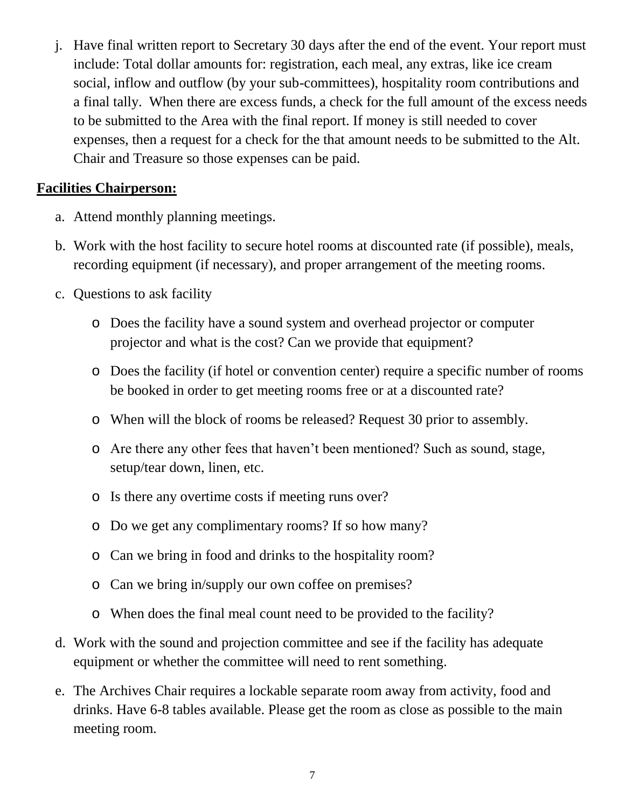j. Have final written report to Secretary 30 days after the end of the event. Your report must include: Total dollar amounts for: registration, each meal, any extras, like ice cream social, inflow and outflow (by your sub-committees), hospitality room contributions and a final tally. When there are excess funds, a check for the full amount of the excess needs to be submitted to the Area with the final report. If money is still needed to cover expenses, then a request for a check for the that amount needs to be submitted to the Alt. Chair and Treasure so those expenses can be paid.

#### **Facilities Chairperson:**

- a. Attend monthly planning meetings.
- b. Work with the host facility to secure hotel rooms at discounted rate (if possible), meals, recording equipment (if necessary), and proper arrangement of the meeting rooms.
- c. Questions to ask facility
	- o Does the facility have a sound system and overhead projector or computer projector and what is the cost? Can we provide that equipment?
	- o Does the facility (if hotel or convention center) require a specific number of rooms be booked in order to get meeting rooms free or at a discounted rate?
	- o When will the block of rooms be released? Request 30 prior to assembly.
	- o Are there any other fees that haven't been mentioned? Such as sound, stage, setup/tear down, linen, etc.
	- o Is there any overtime costs if meeting runs over?
	- o Do we get any complimentary rooms? If so how many?
	- o Can we bring in food and drinks to the hospitality room?
	- o Can we bring in/supply our own coffee on premises?
	- o When does the final meal count need to be provided to the facility?
- d. Work with the sound and projection committee and see if the facility has adequate equipment or whether the committee will need to rent something.
- e. The Archives Chair requires a lockable separate room away from activity, food and drinks. Have 6-8 tables available. Please get the room as close as possible to the main meeting room.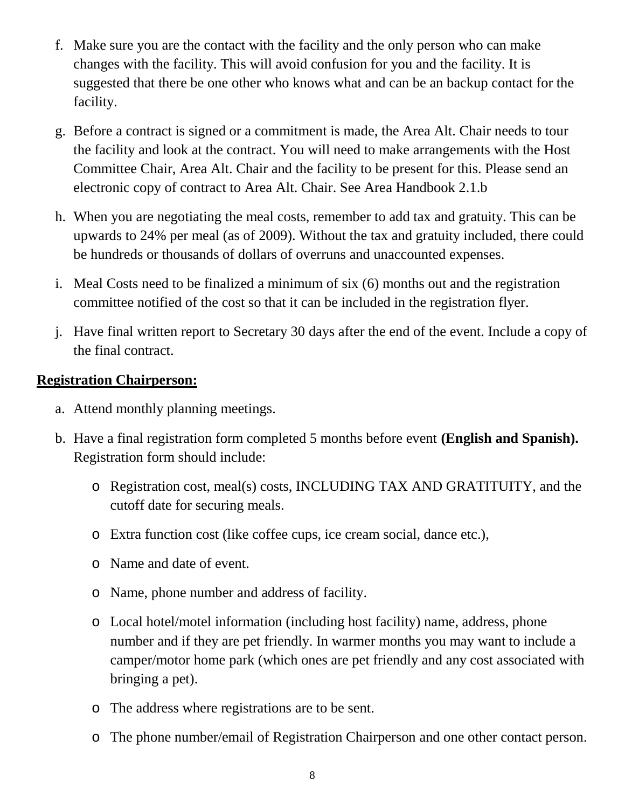- f. Make sure you are the contact with the facility and the only person who can make changes with the facility. This will avoid confusion for you and the facility. It is suggested that there be one other who knows what and can be an backup contact for the facility.
- g. Before a contract is signed or a commitment is made, the Area Alt. Chair needs to tour the facility and look at the contract. You will need to make arrangements with the Host Committee Chair, Area Alt. Chair and the facility to be present for this. Please send an electronic copy of contract to Area Alt. Chair. See Area Handbook 2.1.b
- h. When you are negotiating the meal costs, remember to add tax and gratuity. This can be upwards to 24% per meal (as of 2009). Without the tax and gratuity included, there could be hundreds or thousands of dollars of overruns and unaccounted expenses.
- i. Meal Costs need to be finalized a minimum of six (6) months out and the registration committee notified of the cost so that it can be included in the registration flyer.
- j. Have final written report to Secretary 30 days after the end of the event. Include a copy of the final contract.

#### **Registration Chairperson:**

- a. Attend monthly planning meetings.
- b. Have a final registration form completed 5 months before event **(English and Spanish).** Registration form should include:
	- o Registration cost, meal(s) costs, INCLUDING TAX AND GRATITUITY, and the cutoff date for securing meals.
	- o Extra function cost (like coffee cups, ice cream social, dance etc.),
	- o Name and date of event.
	- o Name, phone number and address of facility.
	- o Local hotel/motel information (including host facility) name, address, phone number and if they are pet friendly. In warmer months you may want to include a camper/motor home park (which ones are pet friendly and any cost associated with bringing a pet).
	- o The address where registrations are to be sent.
	- o The phone number/email of Registration Chairperson and one other contact person.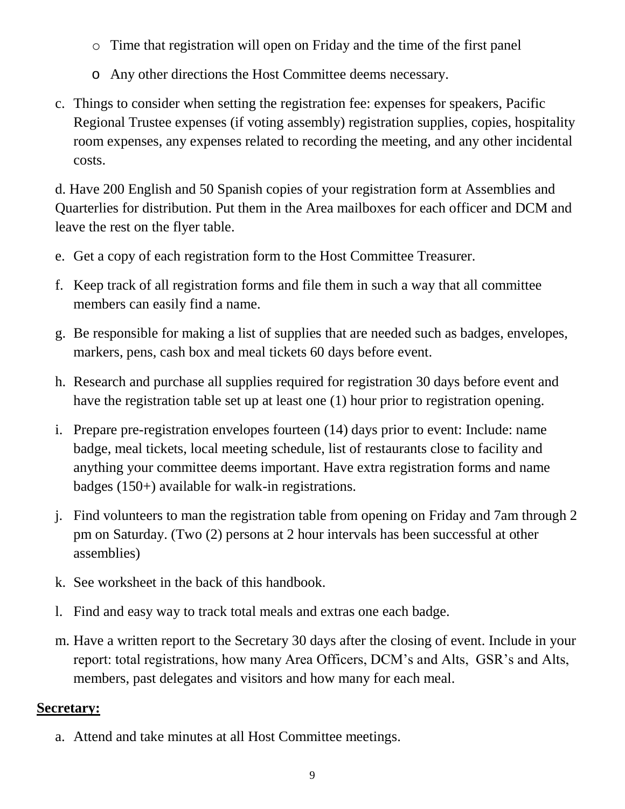- o Time that registration will open on Friday and the time of the first panel
- o Any other directions the Host Committee deems necessary.
- c. Things to consider when setting the registration fee: expenses for speakers, Pacific Regional Trustee expenses (if voting assembly) registration supplies, copies, hospitality room expenses, any expenses related to recording the meeting, and any other incidental costs.

d. Have 200 English and 50 Spanish copies of your registration form at Assemblies and Quarterlies for distribution. Put them in the Area mailboxes for each officer and DCM and leave the rest on the flyer table.

- e. Get a copy of each registration form to the Host Committee Treasurer.
- f. Keep track of all registration forms and file them in such a way that all committee members can easily find a name.
- g. Be responsible for making a list of supplies that are needed such as badges, envelopes, markers, pens, cash box and meal tickets 60 days before event.
- h. Research and purchase all supplies required for registration 30 days before event and have the registration table set up at least one (1) hour prior to registration opening.
- i. Prepare pre-registration envelopes fourteen (14) days prior to event: Include: name badge, meal tickets, local meeting schedule, list of restaurants close to facility and anything your committee deems important. Have extra registration forms and name badges (150+) available for walk-in registrations.
- j. Find volunteers to man the registration table from opening on Friday and 7am through 2 pm on Saturday. (Two (2) persons at 2 hour intervals has been successful at other assemblies)
- k. See worksheet in the back of this handbook.
- l. Find and easy way to track total meals and extras one each badge.
- m. Have a written report to the Secretary 30 days after the closing of event. Include in your report: total registrations, how many Area Officers, DCM's and Alts, GSR's and Alts, members, past delegates and visitors and how many for each meal.

# **Secretary:**

a. Attend and take minutes at all Host Committee meetings.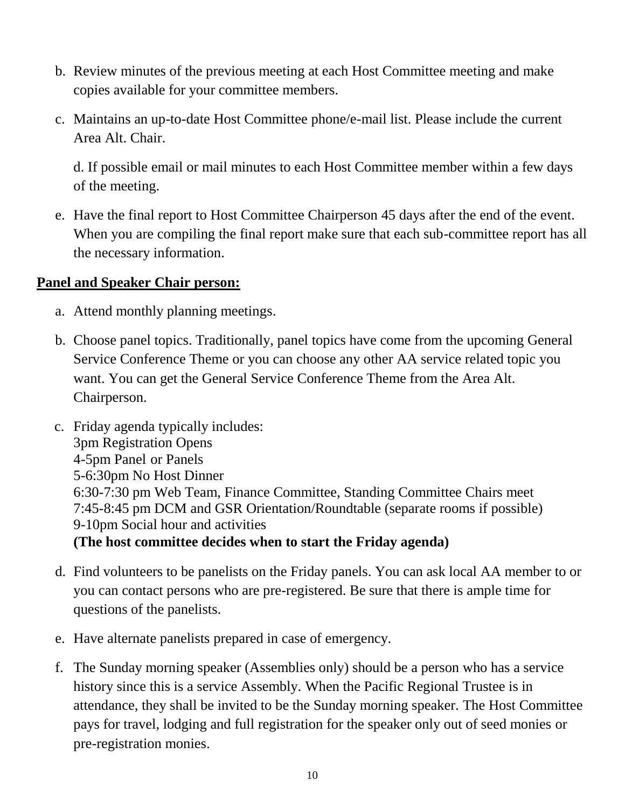- b. Review minutes of the previous meeting at each Host Committee meeting and make copies available for your committee members.
- c. Maintains an up-to-date Host Committee phone/e-mail list. Please include the current Area Alt. Chair.

d. If possible email or mail minutes to each Host Committee member within a few days of the meeting.

e. Have the final report to Host Committee Chairperson 45 days after the end of the event. When you are compiling the final report make sure that each sub-committee report has all the necessary information.

#### **Panel and Speaker Chair person:**

- a. Attend monthly planning meetings.
- b. Choose panel topics. Traditionally, panel topics have come from the upcoming General Service Conference Theme or you can choose any other AA service related topic you want. You can get the General Service Conference Theme from the Area Alt. Chairperson.
- c. Friday agenda typically includes: 3pm Registration Opens 4-5pm Panel or Panels 5-6:30pm No Host Dinner 6:30-7:30 pm Web Team, Finance Committee, Standing Committee Chairs meet 7:45-8:45 pm DCM and GSR Orientation/Roundtable (separate rooms if possible) 9-10pm Social hour and activities **(The host committee decides when to start the Friday agenda)**
- d. Find volunteers to be panelists on the Friday panels. You can ask local AA member to or you can contact persons who are pre-registered. Be sure that there is ample time for questions of the panelists.
- e. Have alternate panelists prepared in case of emergency.
- f. The Sunday morning speaker (Assemblies only) should be a person who has a service history since this is a service Assembly. When the Pacific Regional Trustee is in attendance, they shall be invited to be the Sunday morning speaker. The Host Committee pays for travel, lodging and full registration for the speaker only out of seed monies or pre-registration monies.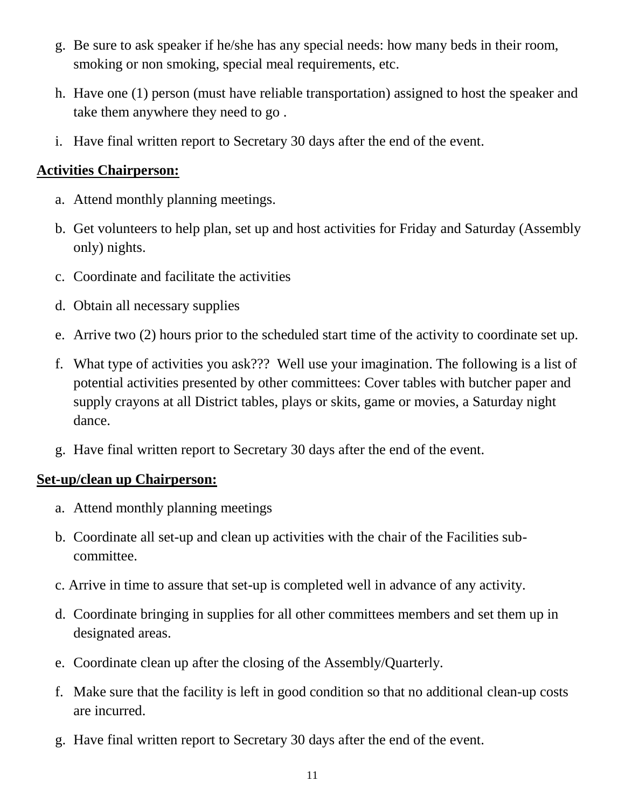- g. Be sure to ask speaker if he/she has any special needs: how many beds in their room, smoking or non smoking, special meal requirements, etc.
- h. Have one (1) person (must have reliable transportation) assigned to host the speaker and take them anywhere they need to go .
- i. Have final written report to Secretary 30 days after the end of the event.

#### **Activities Chairperson:**

- a. Attend monthly planning meetings.
- b. Get volunteers to help plan, set up and host activities for Friday and Saturday (Assembly only) nights.
- c. Coordinate and facilitate the activities
- d. Obtain all necessary supplies
- e. Arrive two (2) hours prior to the scheduled start time of the activity to coordinate set up.
- f. What type of activities you ask??? Well use your imagination. The following is a list of potential activities presented by other committees: Cover tables with butcher paper and supply crayons at all District tables, plays or skits, game or movies, a Saturday night dance.
- g. Have final written report to Secretary 30 days after the end of the event.

#### **Set-up/clean up Chairperson:**

- a. Attend monthly planning meetings
- b. Coordinate all set-up and clean up activities with the chair of the Facilities subcommittee.
- c. Arrive in time to assure that set-up is completed well in advance of any activity.
- d. Coordinate bringing in supplies for all other committees members and set them up in designated areas.
- e. Coordinate clean up after the closing of the Assembly/Quarterly.
- f. Make sure that the facility is left in good condition so that no additional clean-up costs are incurred.
- g. Have final written report to Secretary 30 days after the end of the event.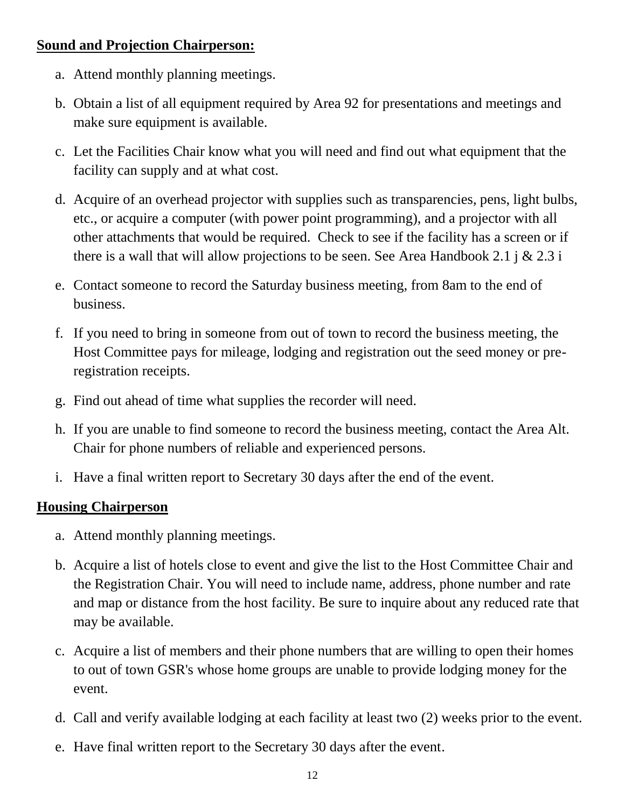#### **Sound and Projection Chairperson:**

- a. Attend monthly planning meetings.
- b. Obtain a list of all equipment required by Area 92 for presentations and meetings and make sure equipment is available.
- c. Let the Facilities Chair know what you will need and find out what equipment that the facility can supply and at what cost.
- d. Acquire of an overhead projector with supplies such as transparencies, pens, light bulbs, etc., or acquire a computer (with power point programming), and a projector with all other attachments that would be required. Check to see if the facility has a screen or if there is a wall that will allow projections to be seen. See Area Handbook 2.1 j  $\&$  2.3 i
- e. Contact someone to record the Saturday business meeting, from 8am to the end of business.
- f. If you need to bring in someone from out of town to record the business meeting, the Host Committee pays for mileage, lodging and registration out the seed money or preregistration receipts.
- g. Find out ahead of time what supplies the recorder will need.
- h. If you are unable to find someone to record the business meeting, contact the Area Alt. Chair for phone numbers of reliable and experienced persons.
- i. Have a final written report to Secretary 30 days after the end of the event.

#### **Housing Chairperson**

- a. Attend monthly planning meetings.
- b. Acquire a list of hotels close to event and give the list to the Host Committee Chair and the Registration Chair. You will need to include name, address, phone number and rate and map or distance from the host facility. Be sure to inquire about any reduced rate that may be available.
- c. Acquire a list of members and their phone numbers that are willing to open their homes to out of town GSR's whose home groups are unable to provide lodging money for the event.
- d. Call and verify available lodging at each facility at least two (2) weeks prior to the event.
- e. Have final written report to the Secretary 30 days after the event.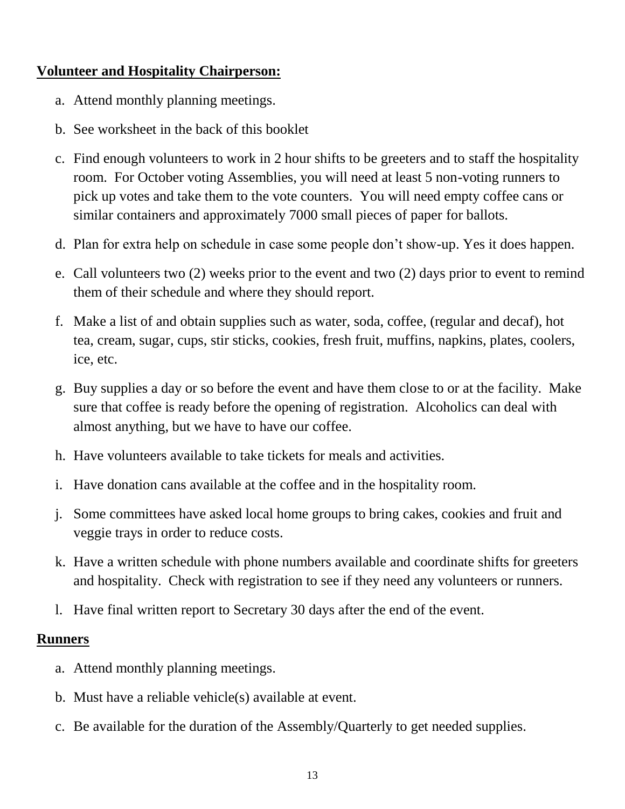#### **Volunteer and Hospitality Chairperson:**

- a. Attend monthly planning meetings.
- b. See worksheet in the back of this booklet
- c. Find enough volunteers to work in 2 hour shifts to be greeters and to staff the hospitality room. For October voting Assemblies, you will need at least 5 non-voting runners to pick up votes and take them to the vote counters. You will need empty coffee cans or similar containers and approximately 7000 small pieces of paper for ballots.
- d. Plan for extra help on schedule in case some people don't show-up. Yes it does happen.
- e. Call volunteers two (2) weeks prior to the event and two (2) days prior to event to remind them of their schedule and where they should report.
- f. Make a list of and obtain supplies such as water, soda, coffee, (regular and decaf), hot tea, cream, sugar, cups, stir sticks, cookies, fresh fruit, muffins, napkins, plates, coolers, ice, etc.
- g. Buy supplies a day or so before the event and have them close to or at the facility. Make sure that coffee is ready before the opening of registration. Alcoholics can deal with almost anything, but we have to have our coffee.
- h. Have volunteers available to take tickets for meals and activities.
- i. Have donation cans available at the coffee and in the hospitality room.
- j. Some committees have asked local home groups to bring cakes, cookies and fruit and veggie trays in order to reduce costs.
- k. Have a written schedule with phone numbers available and coordinate shifts for greeters and hospitality. Check with registration to see if they need any volunteers or runners.
- l. Have final written report to Secretary 30 days after the end of the event.

#### **Runners**

- a. Attend monthly planning meetings.
- b. Must have a reliable vehicle(s) available at event.
- c. Be available for the duration of the Assembly/Quarterly to get needed supplies.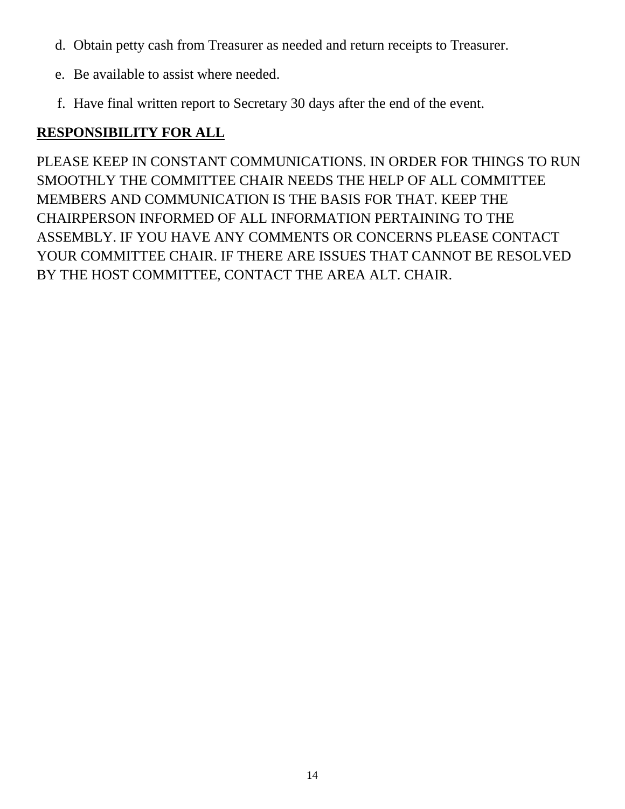- d. Obtain petty cash from Treasurer as needed and return receipts to Treasurer.
- e. Be available to assist where needed.
- f. Have final written report to Secretary 30 days after the end of the event.

# **RESPONSIBILITY FOR ALL**

PLEASE KEEP IN CONSTANT COMMUNICATIONS. IN ORDER FOR THINGS TO RUN SMOOTHLY THE COMMITTEE CHAIR NEEDS THE HELP OF ALL COMMITTEE MEMBERS AND COMMUNICATION IS THE BASIS FOR THAT. KEEP THE CHAIRPERSON INFORMED OF ALL INFORMATION PERTAINING TO THE ASSEMBLY. IF YOU HAVE ANY COMMENTS OR CONCERNS PLEASE CONTACT YOUR COMMITTEE CHAIR. IF THERE ARE ISSUES THAT CANNOT BE RESOLVED BY THE HOST COMMITTEE, CONTACT THE AREA ALT. CHAIR.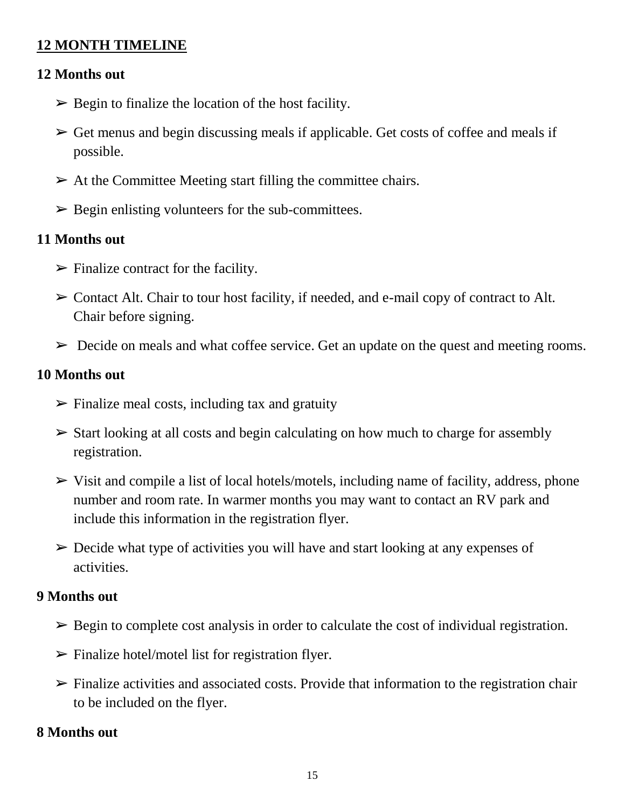#### **12 MONTH TIMELINE**

#### **12 Months out**

- $\triangleright$  Begin to finalize the location of the host facility.
- $\triangleright$  Get menus and begin discussing meals if applicable. Get costs of coffee and meals if possible.
- $\triangleright$  At the Committee Meeting start filling the committee chairs.
- $\triangleright$  Begin enlisting volunteers for the sub-committees.

#### **11 Months out**

- $\triangleright$  Finalize contract for the facility.
- ➢ Contact Alt. Chair to tour host facility, if needed, and e-mail copy of contract to Alt. Chair before signing.
- $\triangleright$  Decide on meals and what coffee service. Get an update on the quest and meeting rooms.

#### **10 Months out**

- $\triangleright$  Finalize meal costs, including tax and gratuity
- $\triangleright$  Start looking at all costs and begin calculating on how much to charge for assembly registration.
- $\triangleright$  Visit and compile a list of local hotels/motels, including name of facility, address, phone number and room rate. In warmer months you may want to contact an RV park and include this information in the registration flyer.
- ➢ Decide what type of activities you will have and start looking at any expenses of activities.

#### **9 Months out**

- $\triangleright$  Begin to complete cost analysis in order to calculate the cost of individual registration.
- $\triangleright$  Finalize hotel/motel list for registration flyer.
- $\triangleright$  Finalize activities and associated costs. Provide that information to the registration chair to be included on the flyer.

#### **8 Months out**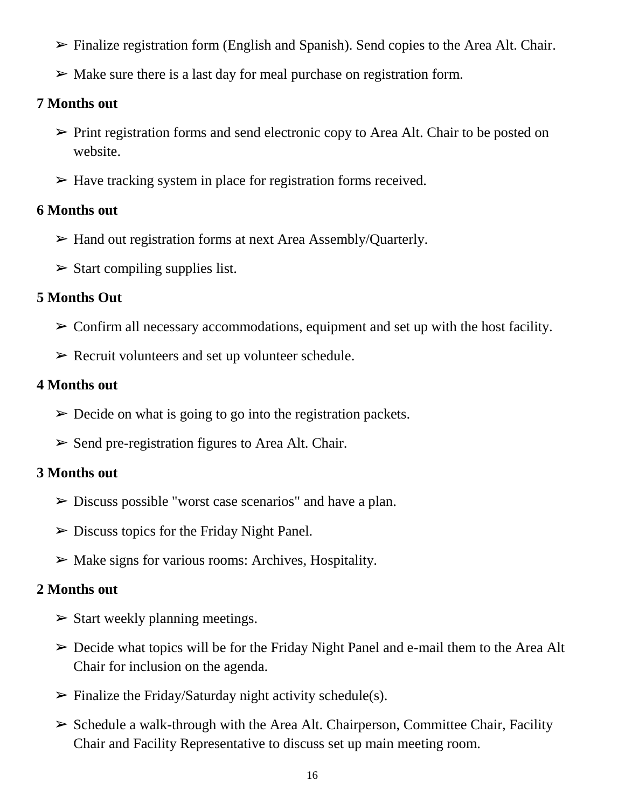- $\triangleright$  Finalize registration form (English and Spanish). Send copies to the Area Alt. Chair.
- $\triangleright$  Make sure there is a last day for meal purchase on registration form.

#### **7 Months out**

- $\triangleright$  Print registration forms and send electronic copy to Area Alt. Chair to be posted on website.
- $\triangleright$  Have tracking system in place for registration forms received.

#### **6 Months out**

- ➢ Hand out registration forms at next Area Assembly/Quarterly.
- $\triangleright$  Start compiling supplies list.

#### **5 Months Out**

- $\triangleright$  Confirm all necessary accommodations, equipment and set up with the host facility.
- $\triangleright$  Recruit volunteers and set up volunteer schedule.

#### **4 Months out**

- $\triangleright$  Decide on what is going to go into the registration packets.
- $\triangleright$  Send pre-registration figures to Area Alt. Chair.

#### **3 Months out**

- ➢ Discuss possible "worst case scenarios" and have a plan.
- $\triangleright$  Discuss topics for the Friday Night Panel.
- $\triangleright$  Make signs for various rooms: Archives, Hospitality.

# **2 Months out**

- $\triangleright$  Start weekly planning meetings.
- $\triangleright$  Decide what topics will be for the Friday Night Panel and e-mail them to the Area Alt Chair for inclusion on the agenda.
- $\triangleright$  Finalize the Friday/Saturday night activity schedule(s).
- $\triangleright$  Schedule a walk-through with the Area Alt. Chairperson, Committee Chair, Facility Chair and Facility Representative to discuss set up main meeting room.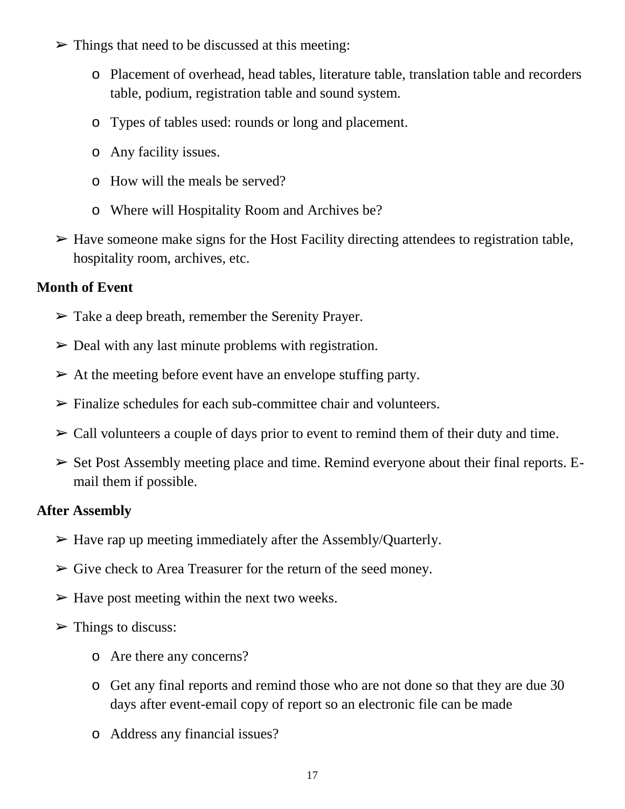- $\triangleright$  Things that need to be discussed at this meeting:
	- o Placement of overhead, head tables, literature table, translation table and recorders table, podium, registration table and sound system.
	- o Types of tables used: rounds or long and placement.
	- o Any facility issues.
	- o How will the meals be served?
	- o Where will Hospitality Room and Archives be?
- $\triangleright$  Have someone make signs for the Host Facility directing attendees to registration table, hospitality room, archives, etc.

#### **Month of Event**

- $\triangleright$  Take a deep breath, remember the Serenity Prayer.
- $\triangleright$  Deal with any last minute problems with registration.
- $\triangleright$  At the meeting before event have an envelope stuffing party.
- $\triangleright$  Finalize schedules for each sub-committee chair and volunteers.
- $\triangleright$  Call volunteers a couple of days prior to event to remind them of their duty and time.
- $\triangleright$  Set Post Assembly meeting place and time. Remind everyone about their final reports. Email them if possible.

#### **After Assembly**

- $\triangleright$  Have rap up meeting immediately after the Assembly/Quarterly.
- $\triangleright$  Give check to Area Treasurer for the return of the seed money.
- $\triangleright$  Have post meeting within the next two weeks.
- $\triangleright$  Things to discuss:
	- o Are there any concerns?
	- o Get any final reports and remind those who are not done so that they are due 30 days after event-email copy of report so an electronic file can be made
	- o Address any financial issues?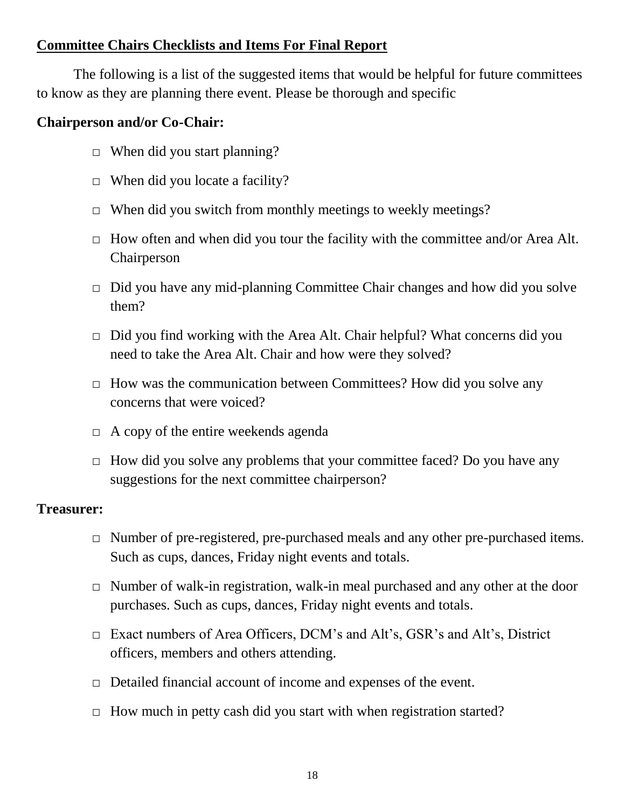#### **Committee Chairs Checklists and Items For Final Report**

The following is a list of the suggested items that would be helpful for future committees to know as they are planning there event. Please be thorough and specific

#### **Chairperson and/or Co-Chair:**

- $\Box$  When did you start planning?
- $\Box$  When did you locate a facility?
- $\Box$  When did you switch from monthly meetings to weekly meetings?
- $\Box$  How often and when did you tour the facility with the committee and/or Area Alt. Chairperson
- $\Box$  Did you have any mid-planning Committee Chair changes and how did you solve them?
- □ Did you find working with the Area Alt. Chair helpful? What concerns did you need to take the Area Alt. Chair and how were they solved?
- $\Box$  How was the communication between Committees? How did you solve any concerns that were voiced?
- $\Box$  A copy of the entire weekends agenda
- $\Box$  How did you solve any problems that your committee faced? Do you have any suggestions for the next committee chairperson?

#### **Treasurer:**

- □ Number of pre-registered, pre-purchased meals and any other pre-purchased items. Such as cups, dances, Friday night events and totals.
- $\Box$  Number of walk-in registration, walk-in meal purchased and any other at the door purchases. Such as cups, dances, Friday night events and totals.
- □ Exact numbers of Area Officers, DCM's and Alt's, GSR's and Alt's, District officers, members and others attending.
- □ Detailed financial account of income and expenses of the event.
- $\Box$  How much in petty cash did you start with when registration started?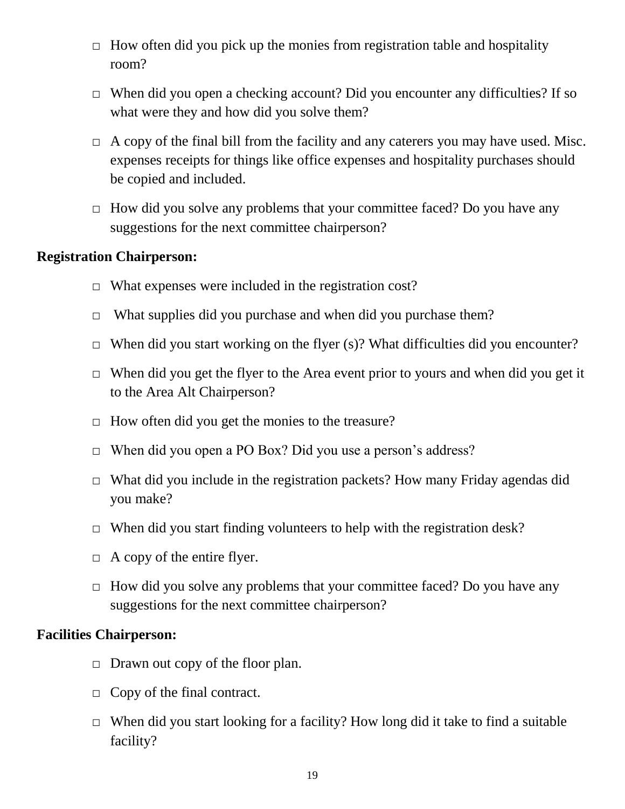- $\Box$  How often did you pick up the monies from registration table and hospitality room?
- $\Box$  When did you open a checking account? Did you encounter any difficulties? If so what were they and how did you solve them?
- $\Box$  A copy of the final bill from the facility and any caterers you may have used. Misc. expenses receipts for things like office expenses and hospitality purchases should be copied and included.
- $\Box$  How did you solve any problems that your committee faced? Do you have any suggestions for the next committee chairperson?

#### **Registration Chairperson:**

- $\Box$  What expenses were included in the registration cost?
- $\Box$  What supplies did you purchase and when did you purchase them?
- $\Box$  When did you start working on the flyer (s)? What difficulties did you encounter?
- $\Box$  When did you get the flyer to the Area event prior to yours and when did you get it to the Area Alt Chairperson?
- $\Box$  How often did you get the monies to the treasure?
- □ When did you open a PO Box? Did you use a person's address?
- $\Box$  What did you include in the registration packets? How many Friday agendas did you make?
- $\Box$  When did you start finding volunteers to help with the registration desk?
- $\Box$  A copy of the entire flyer.
- $\Box$  How did you solve any problems that your committee faced? Do you have any suggestions for the next committee chairperson?

#### **Facilities Chairperson:**

- $\Box$  Drawn out copy of the floor plan.
- $\Box$  Copy of the final contract.
- $\Box$  When did you start looking for a facility? How long did it take to find a suitable facility?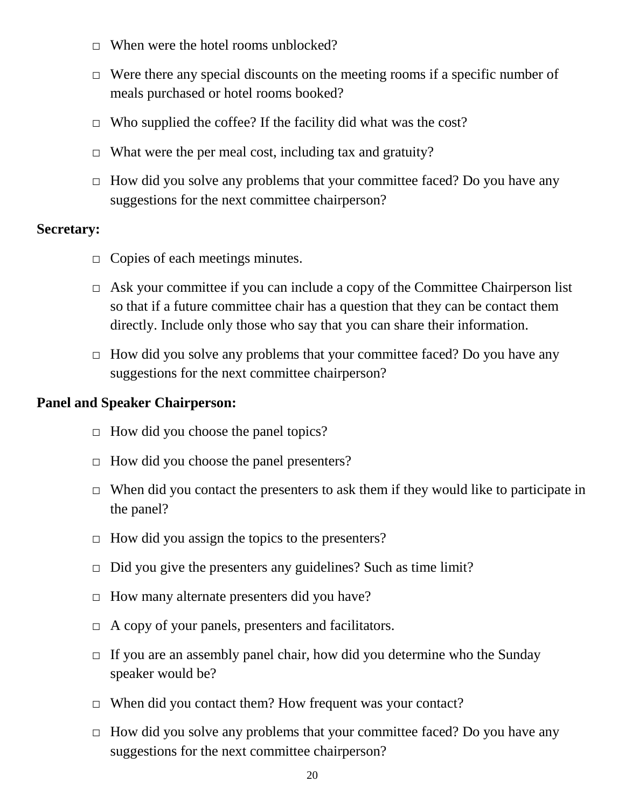- $\Box$  When were the hotel rooms unblocked?
- $\Box$  Were there any special discounts on the meeting rooms if a specific number of meals purchased or hotel rooms booked?
- $\Box$  Who supplied the coffee? If the facility did what was the cost?
- $\Box$  What were the per meal cost, including tax and gratuity?
- □ How did you solve any problems that your committee faced? Do you have any suggestions for the next committee chairperson?

#### **Secretary:**

- $\Box$  Copies of each meetings minutes.
- $\Box$  Ask your committee if you can include a copy of the Committee Chairperson list so that if a future committee chair has a question that they can be contact them directly. Include only those who say that you can share their information.
- □ How did you solve any problems that your committee faced? Do you have any suggestions for the next committee chairperson?

#### **Panel and Speaker Chairperson:**

- $\Box$  How did you choose the panel topics?
- □ How did you choose the panel presenters?
- $\Box$  When did you contact the presenters to ask them if they would like to participate in the panel?
- $\Box$  How did you assign the topics to the presenters?
- $\Box$  Did you give the presenters any guidelines? Such as time limit?
- □ How many alternate presenters did you have?
- $\Box$  A copy of your panels, presenters and facilitators.
- $\Box$  If you are an assembly panel chair, how did you determine who the Sunday speaker would be?
- □ When did you contact them? How frequent was your contact?
- $\Box$  How did you solve any problems that your committee faced? Do you have any suggestions for the next committee chairperson?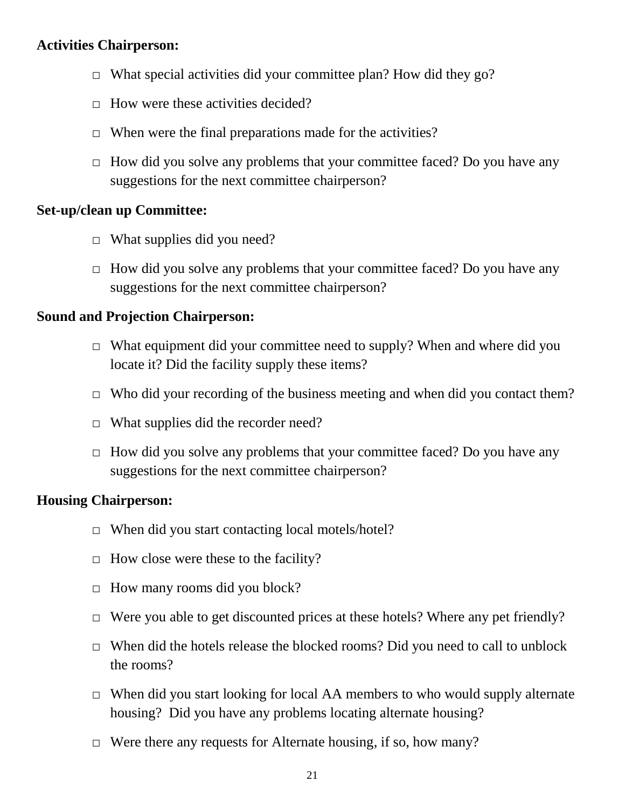#### **Activities Chairperson:**

- $\Box$  What special activities did your committee plan? How did they go?
- $\Box$  How were these activities decided?
- $\Box$  When were the final preparations made for the activities?
- $\Box$  How did you solve any problems that your committee faced? Do you have any suggestions for the next committee chairperson?

#### **Set-up/clean up Committee:**

- $\Box$  What supplies did you need?
- $\Box$  How did you solve any problems that your committee faced? Do you have any suggestions for the next committee chairperson?

#### **Sound and Projection Chairperson:**

- $\Box$  What equipment did your committee need to supply? When and where did you locate it? Did the facility supply these items?
- $\Box$  Who did your recording of the business meeting and when did you contact them?
- $\Box$  What supplies did the recorder need?
- $\Box$  How did you solve any problems that your committee faced? Do you have any suggestions for the next committee chairperson?

#### **Housing Chairperson:**

- $\Box$  When did you start contacting local motels/hotel?
- $\Box$  How close were these to the facility?
- $\Box$  How many rooms did you block?
- $\Box$  Were you able to get discounted prices at these hotels? Where any pet friendly?
- $\Box$  When did the hotels release the blocked rooms? Did you need to call to unblock the rooms?
- $\Box$  When did you start looking for local AA members to who would supply alternate housing? Did you have any problems locating alternate housing?
- $\Box$  Were there any requests for Alternate housing, if so, how many?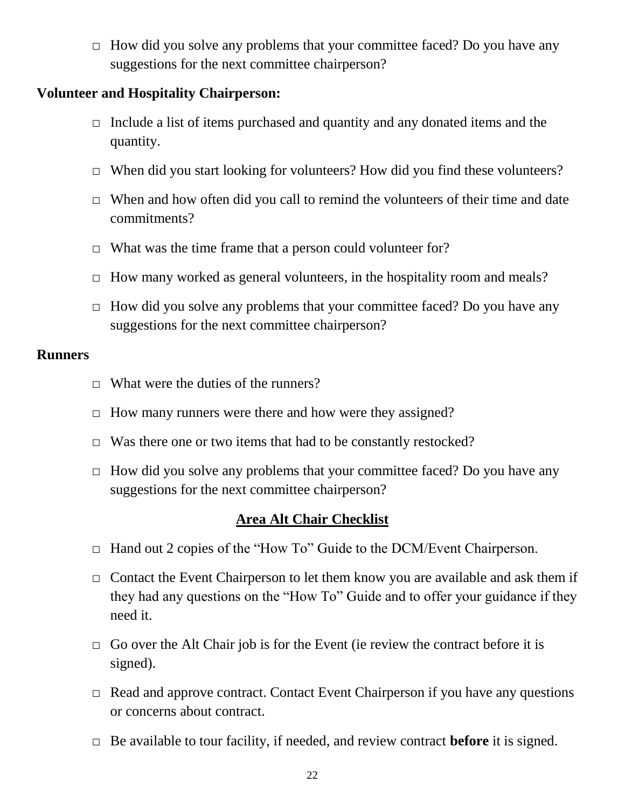$\Box$  How did you solve any problems that your committee faced? Do you have any suggestions for the next committee chairperson?

#### **Volunteer and Hospitality Chairperson:**

- $\Box$  Include a list of items purchased and quantity and any donated items and the quantity.
- $\Box$  When did you start looking for volunteers? How did you find these volunteers?
- $\Box$  When and how often did you call to remind the volunteers of their time and date commitments?
- $\Box$  What was the time frame that a person could volunteer for?
- □ How many worked as general volunteers, in the hospitality room and meals?
- □ How did you solve any problems that your committee faced? Do you have any suggestions for the next committee chairperson?

#### **Runners**

- $\Box$  What were the duties of the runners?
- □ How many runners were there and how were they assigned?
- $\Box$  Was there one or two items that had to be constantly restocked?
- $\Box$  How did you solve any problems that your committee faced? Do you have any suggestions for the next committee chairperson?

#### **Area Alt Chair Checklist**

- □ Hand out 2 copies of the "How To" Guide to the DCM/Event Chairperson.
- $\Box$  Contact the Event Chairperson to let them know you are available and ask them if they had any questions on the "How To" Guide and to offer your guidance if they need it.
- $\Box$  Go over the Alt Chair job is for the Event (ie review the contract before it is signed).
- $\Box$  Read and approve contract. Contact Event Chairperson if you have any questions or concerns about contract.
- □ Be available to tour facility, if needed, and review contract **before** it is signed.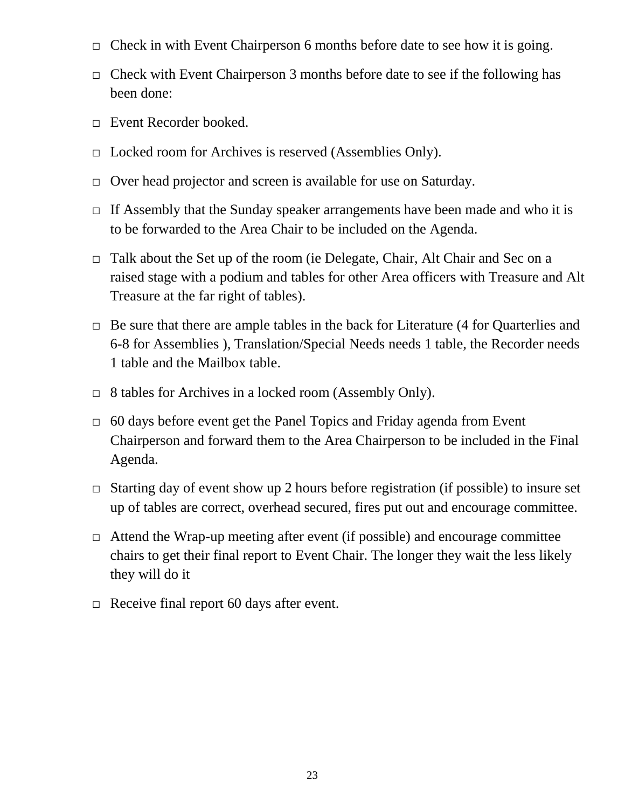- $\Box$  Check in with Event Chairperson 6 months before date to see how it is going.
- $\Box$  Check with Event Chairperson 3 months before date to see if the following has been done:
- □ Event Recorder booked.
- □ Locked room for Archives is reserved (Assemblies Only).
- □ Over head projector and screen is available for use on Saturday.
- $\Box$  If Assembly that the Sunday speaker arrangements have been made and who it is to be forwarded to the Area Chair to be included on the Agenda.
- $\Box$  Talk about the Set up of the room (ie Delegate, Chair, Alt Chair and Sec on a raised stage with a podium and tables for other Area officers with Treasure and Alt Treasure at the far right of tables).
- $\Box$  Be sure that there are ample tables in the back for Literature (4 for Quarterlies and 6-8 for Assemblies ), Translation/Special Needs needs 1 table, the Recorder needs 1 table and the Mailbox table.
- □ 8 tables for Archives in a locked room (Assembly Only).
- $\Box$  60 days before event get the Panel Topics and Friday agenda from Event Chairperson and forward them to the Area Chairperson to be included in the Final Agenda.
- $\Box$  Starting day of event show up 2 hours before registration (if possible) to insure set up of tables are correct, overhead secured, fires put out and encourage committee.
- $\Box$  Attend the Wrap-up meeting after event (if possible) and encourage committee chairs to get their final report to Event Chair. The longer they wait the less likely they will do it
- $\Box$  Receive final report 60 days after event.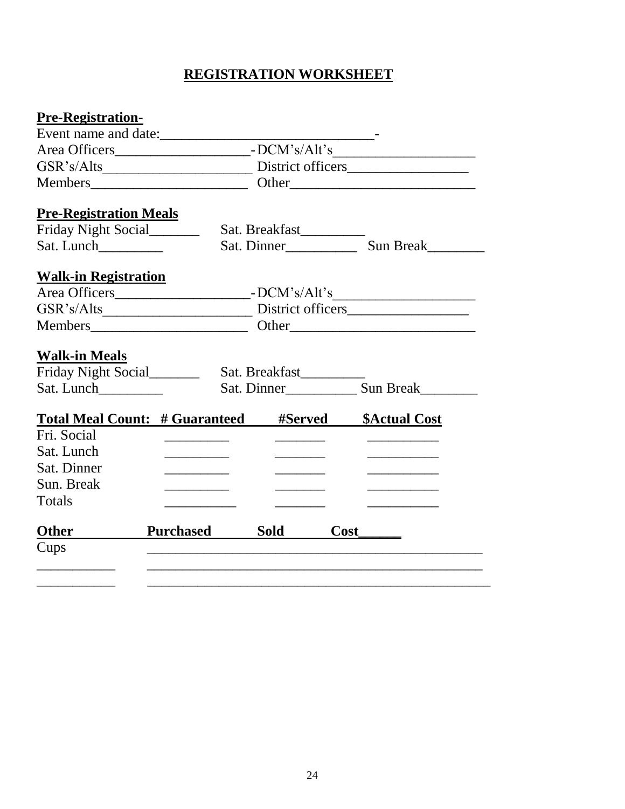# **REGISTRATION WORKSHEET**

| <b>Pre-Registration-</b>      |                                                                     |                                                                                                                                                                                                                                      |                                         |
|-------------------------------|---------------------------------------------------------------------|--------------------------------------------------------------------------------------------------------------------------------------------------------------------------------------------------------------------------------------|-----------------------------------------|
|                               | Event name and date:                                                |                                                                                                                                                                                                                                      |                                         |
|                               |                                                                     |                                                                                                                                                                                                                                      |                                         |
|                               |                                                                     |                                                                                                                                                                                                                                      |                                         |
|                               |                                                                     |                                                                                                                                                                                                                                      |                                         |
| <b>Pre-Registration Meals</b> |                                                                     |                                                                                                                                                                                                                                      |                                         |
| Friday Night Social           |                                                                     | Sat. Breakfast________                                                                                                                                                                                                               |                                         |
| Sat. Lunch                    |                                                                     |                                                                                                                                                                                                                                      |                                         |
| <b>Walk-in Registration</b>   |                                                                     |                                                                                                                                                                                                                                      |                                         |
|                               |                                                                     |                                                                                                                                                                                                                                      |                                         |
|                               |                                                                     |                                                                                                                                                                                                                                      |                                         |
|                               |                                                                     |                                                                                                                                                                                                                                      |                                         |
| <b>Walk-in Meals</b>          |                                                                     |                                                                                                                                                                                                                                      |                                         |
|                               |                                                                     |                                                                                                                                                                                                                                      |                                         |
|                               |                                                                     |                                                                                                                                                                                                                                      |                                         |
|                               | <b>Total Meal Count: # Guaranteed</b>                               | #Served                                                                                                                                                                                                                              |                                         |
| Fri. Social                   |                                                                     |                                                                                                                                                                                                                                      | <b>\$Actual Cost</b>                    |
| Sat. Lunch                    | $\overline{\phantom{a}}$ . The contract of $\overline{\phantom{a}}$ | <u> De Carlos de Carlos de Carlos de Carlos de Carlos de Carlos de Carlos de Carlos de Carlos de Carlos de Carlos de Carlos de Carlos de Carlos de Carlos de Carlos de Carlos de Carlos de Carlos de Carlos de Carlos de Carlos </u> | <u> 1989 - Johann Barbara, martin a</u> |
| Sat. Dinner                   | <u> 1990 - Johann Barnett, fransk konge</u>                         |                                                                                                                                                                                                                                      | the control of the control of the       |
| Sun. Break                    | <u> 1990 - Johann Barnett, fransk politiker</u>                     |                                                                                                                                                                                                                                      | the control of the control of the       |
| Totals                        |                                                                     |                                                                                                                                                                                                                                      | <u> 1989 - Johann Barn, mars et al.</u> |
|                               |                                                                     |                                                                                                                                                                                                                                      |                                         |
|                               |                                                                     |                                                                                                                                                                                                                                      |                                         |
| <b>Other</b>                  | <b>Purchased</b>                                                    | <b>Sold</b>                                                                                                                                                                                                                          |                                         |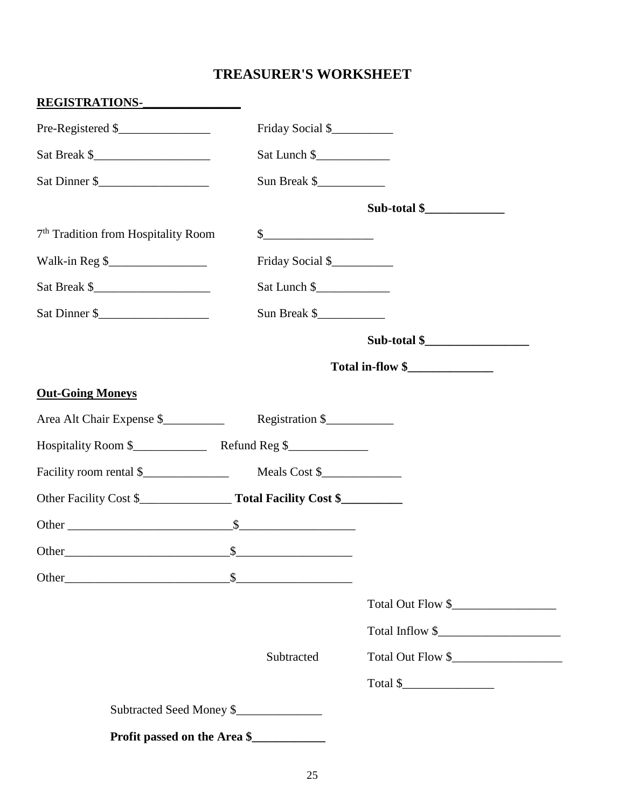# **TREASURER'S WORKSHEET**

| REGISTRATIONS-                                  |                             |                         |
|-------------------------------------------------|-----------------------------|-------------------------|
| Pre-Registered \$                               | Friday Social \$            |                         |
|                                                 | Sat Lunch \$                |                         |
| Sat Dinner \$                                   | Sun Break \$                |                         |
|                                                 |                             | Sub-total $\frac{1}{2}$ |
| 7 <sup>th</sup> Tradition from Hospitality Room | $\frac{\text{S}}{\text{S}}$ |                         |
| Walk-in Reg \$                                  | Friday Social \$            |                         |
| Sat Break \$                                    | Sat Lunch \$                |                         |
| Sat Dinner \$                                   | Sun Break \$                |                         |
|                                                 |                             | $Sub-total$ \$          |
|                                                 |                             | Total in-flow \$        |
| <b>Out-Going Moneys</b>                         |                             |                         |
|                                                 |                             |                         |
|                                                 |                             |                         |
|                                                 |                             |                         |
|                                                 |                             |                         |
|                                                 |                             |                         |
| Other_<br>$\mathbb{S}$                          |                             |                         |
|                                                 |                             |                         |
|                                                 |                             | Total Out Flow \$       |
|                                                 |                             | Total Inflow \$         |
|                                                 | Subtracted                  | Total Out Flow \$       |
|                                                 |                             | Total \$                |
| Subtracted Seed Money \$                        |                             |                         |
| Profit passed on the Area \$                    |                             |                         |